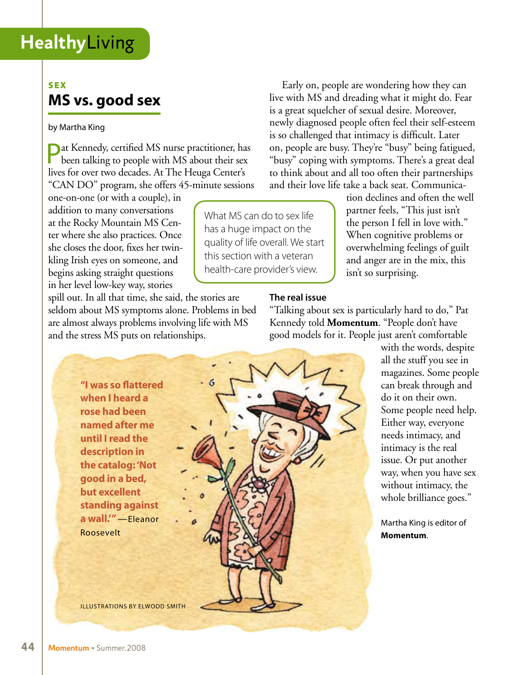### **SEX MS vs. good sex**

#### by Martha King

**Pat Kennedy, certified MS nurse practitioner, has** been talking to people with MS about their sex lives for over two decades. At The Heuga Center's "CAN DO" program, she offers 45-minute sessions

one-on-one (or with a couple), in addition to many conversations at the Rocky Mountain MS Center where she also practices. Once she closes the door, fixes her twinkling Irish eyes on someone, and begins asking straight questions in her level low-key way, stories

spill out. In all that time, she said, the stories are seldom about MS symptoms alone. Problems in bed are almost always problems involving life with MS and the stress MS puts on relationships.

Early on, people are wondering how they can live with MS and dreading what it might do. Fear is a great squelcher of sexual desire. Moreover, newly diagnosed people often feel their self-esteem is so challenged that intimacy is difficult. Later on, people are busy. They're "busy" being fatigued, "busy" coping with symptoms. There's a great deal to think about and all too often their partnerships and their love life take a back seat. Communica-

tion declines and often the well partner feels, "This just isn't the person I fell in love with." When cognitive problems or overwhelming feelings of guilt and anger are in the mix, this isn't so surprising.

#### **The real issue**

What MS can do to sex life has a huge impact on the quality of life overall. We start this section with a veteran health-care provider's view.

> "Talking about sex is particularly hard to do," Pat Kennedy told **Momentum**. "People don't have good models for it. People just aren't comfortable

with the words, despite all the stuff you see in magazines. Some people can break through and do it on their own. Some people need help. Either way, everyone needs intimacy, and intimacy is the real issue. Or put another way, when you have sex without intimacy, the whole brilliance goes."

Martha King is editor of **Momentum**.

**"I was so flattered when I heard a rose had been named after me until I read the description in the catalog: 'Not good in a bed, but excellent standing against a wall.'"** —Eleanor Roosevelt illustrations by Elwood Smith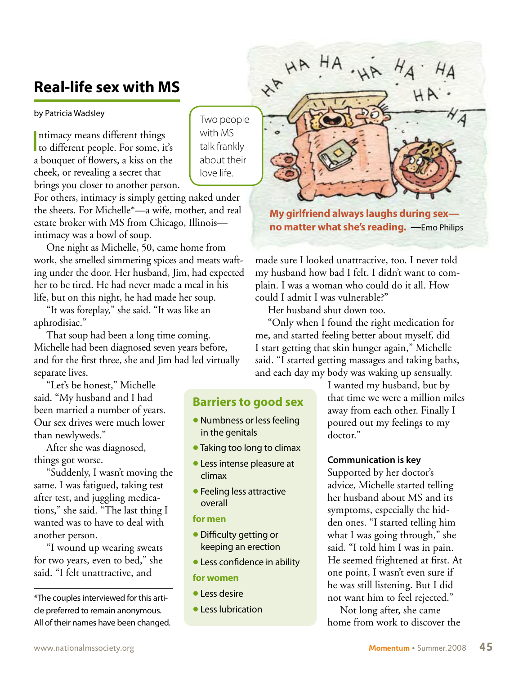## **Real-life sex with MS**

by Patricia Wadsley

ntimacy means different things<br>to different people. For some, it's ntimacy means different things a bouquet of flowers, a kiss on the cheek, or revealing a secret that brings you closer to another person.

For others, intimacy is simply getting naked under the sheets. For Michelle\*—a wife, mother, and real estate broker with MS from Chicago, Illinois intimacy was a bowl of soup.

One night as Michelle, 50, came home from work, she smelled simmering spices and meats wafting under the door. Her husband, Jim, had expected her to be tired. He had never made a meal in his life, but on this night, he had made her soup.

"It was foreplay," she said. "It was like an aphrodisiac."

That soup had been a long time coming. Michelle had been diagnosed seven years before, and for the first three, she and Jim had led virtually separate lives.

"Let's be honest," Michelle said. "My husband and I had been married a number of years. Our sex drives were much lower than newlyweds."

After she was diagnosed, things got worse.

"Suddenly, I wasn't moving the same. I was fatigued, taking test after test, and juggling medications," she said. "The last thing I wanted was to have to deal with another person.

"I wound up wearing sweats for two years, even to bed," she said. "I felt unattractive, and

\*The couples interviewed for this article preferred to remain anonymous. All of their names have been changed.

Two people with MS talk frankly about their love life.

**Barriers to good sex**

• Numbness or less feeling

• Taking too long to climax • Less intense pleasure at

• Feeling less attractive

• Difficulty getting or keeping an erection • Less confidence in ability

in the genitals

climax

overall **for men**

**for women** • Less desire

• Less lubrication

**My girlfriend always laughs during sex no matter what she's reading. —**Emo Philips

made sure I looked unattractive, too. I never told my husband how bad I felt. I didn't want to complain. I was a woman who could do it all. How could I admit I was vulnerable?"

Her husband shut down too.

HA HA

**HA** 

"Only when I found the right medication for me, and started feeling better about myself, did I start getting that skin hunger again," Michelle said. "I started getting massages and taking baths, and each day my body was waking up sensually.

> I wanted my husband, but by that time we were a million miles away from each other. Finally I poured out my feelings to my doctor."

#### **Communication is key**

Supported by her doctor's advice, Michelle started telling her husband about MS and its symptoms, especially the hidden ones. "I started telling him what I was going through," she said. "I told him I was in pain. He seemed frightened at first. At one point, I wasn't even sure if he was still listening. But I did not want him to feel rejected."

Not long after, she came home from work to discover the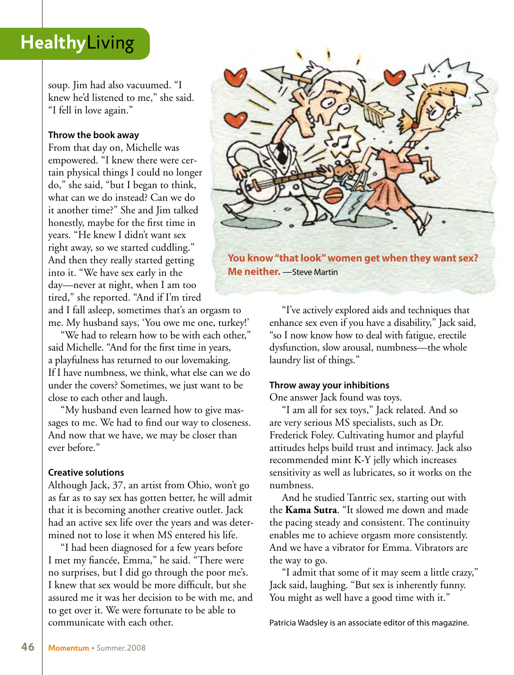soup. Jim had also vacuumed. "I knew he'd listened to me," she said. "I fell in love again."

#### **Throw the book away**

From that day on, Michelle was empowered. "I knew there were certain physical things I could no longer do," she said, "but I began to think, what can we do instead? Can we do it another time?" She and Jim talked honestly, maybe for the first time in years. "He knew I didn't want sex right away, so we started cuddling." And then they really started getting into it. "We have sex early in the day—never at night, when I am too tired," she reported. "And if I'm tired

and I fall asleep, sometimes that's an orgasm to me. My husband says, 'You owe me one, turkey!'

"We had to relearn how to be with each other," said Michelle. "And for the first time in years, a playfulness has returned to our lovemaking. If I have numbness, we think, what else can we do under the covers? Sometimes, we just want to be close to each other and laugh.

"My husband even learned how to give massages to me. We had to find our way to closeness. And now that we have, we may be closer than ever before."

#### **Creative solutions**

Although Jack, 37, an artist from Ohio, won't go as far as to say sex has gotten better, he will admit that it is becoming another creative outlet. Jack had an active sex life over the years and was determined not to lose it when MS entered his life.

"I had been diagnosed for a few years before I met my fiancée, Emma," he said. "There were no surprises, but I did go through the poor me's. I knew that sex would be more difficult, but she assured me it was her decision to be with me, and to get over it. We were fortunate to be able to communicate with each other.



**You know "that look" women get when they want sex? Me neither.** —Steve Martin

"I've actively explored aids and techniques that enhance sex even if you have a disability," Jack said, "so I now know how to deal with fatigue, erectile dysfunction, slow arousal, numbness—the whole laundry list of things."

#### **Throw away your inhibitions**

One answer Jack found was toys.

"I am all for sex toys," Jack related. And so are very serious MS specialists, such as Dr. Frederick Foley. Cultivating humor and playful attitudes helps build trust and intimacy. Jack also recommended mint K-Y jelly which increases sensitivity as well as lubricates, so it works on the numbness.

And he studied Tantric sex, starting out with the **Kama Sutra**. "It slowed me down and made the pacing steady and consistent. The continuity enables me to achieve orgasm more consistently. And we have a vibrator for Emma. Vibrators are the way to go.

"I admit that some of it may seem a little crazy," Jack said, laughing. "But sex is inherently funny. You might as well have a good time with it."

Patricia Wadsley is an associate editor of this magazine.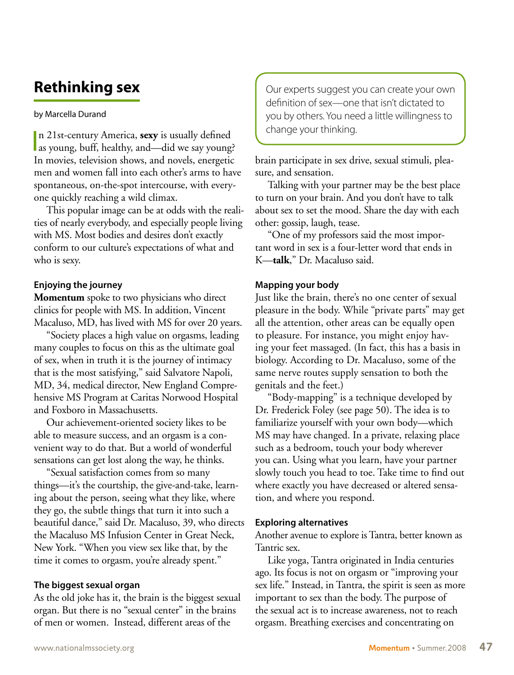## **Rethinking sex**

#### by Marcella Durand

In 21st-century America, **sexy** is usually defined<br>as young, buff, healthy, and—did we say young? n 21st-century America, **sexy** is usually defined In movies, television shows, and novels, energetic men and women fall into each other's arms to have spontaneous, on-the-spot intercourse, with everyone quickly reaching a wild climax.

This popular image can be at odds with the realities of nearly everybody, and especially people living with MS. Most bodies and desires don't exactly conform to our culture's expectations of what and who is sexy.

#### **Enjoying the journey**

**Momentum** spoke to two physicians who direct clinics for people with MS. In addition, Vincent Macaluso, MD, has lived with MS for over 20 years.

"Society places a high value on orgasms, leading many couples to focus on this as the ultimate goal of sex, when in truth it is the journey of intimacy that is the most satisfying," said Salvatore Napoli, MD, 34, medical director, New England Comprehensive MS Program at Caritas Norwood Hospital and Foxboro in Massachusetts.

Our achievement-oriented society likes to be able to measure success, and an orgasm is a convenient way to do that. But a world of wonderful sensations can get lost along the way, he thinks.

"Sexual satisfaction comes from so many things—it's the courtship, the give-and-take, learning about the person, seeing what they like, where they go, the subtle things that turn it into such a beautiful dance," said Dr. Macaluso, 39, who directs the Macaluso MS Infusion Center in Great Neck, New York. "When you view sex like that, by the time it comes to orgasm, you're already spent."

#### **The biggest sexual organ**

As the old joke has it, the brain is the biggest sexual organ. But there is no "sexual center" in the brains of men or women. Instead, different areas of the

Our experts suggest you can create your own definition of sex—one that isn't dictated to you by others. You need a little willingness to change your thinking.

brain participate in sex drive, sexual stimuli, pleasure, and sensation.

Talking with your partner may be the best place to turn on your brain. And you don't have to talk about sex to set the mood. Share the day with each other: gossip, laugh, tease.

"One of my professors said the most important word in sex is a four-letter word that ends in K—**talk**," Dr. Macaluso said.

#### **Mapping your body**

Just like the brain, there's no one center of sexual pleasure in the body. While "private parts" may get all the attention, other areas can be equally open to pleasure. For instance, you might enjoy having your feet massaged. (In fact, this has a basis in biology. According to Dr. Macaluso, some of the same nerve routes supply sensation to both the genitals and the feet.)

"Body-mapping" is a technique developed by Dr. Frederick Foley (see page 50). The idea is to familiarize yourself with your own body—which MS may have changed. In a private, relaxing place such as a bedroom, touch your body wherever you can. Using what you learn, have your partner slowly touch you head to toe. Take time to find out where exactly you have decreased or altered sensation, and where you respond.

#### **Exploring alternatives**

Another avenue to explore is Tantra, better known as Tantric sex.

Like yoga, Tantra originated in India centuries ago. Its focus is not on orgasm or "improving your sex life." Instead, in Tantra, the spirit is seen as more important to sex than the body. The purpose of the sexual act is to increase awareness, not to reach orgasm. Breathing exercises and concentrating on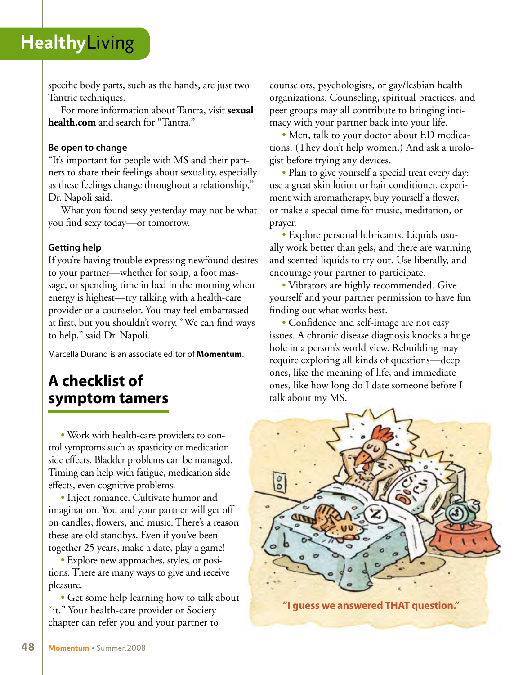specific body parts, such as the hands, are just two Tantric techniques.

For more information about Tantra, visit **sexual health.com** and search for "Tantra."

#### **Be open to change**

"It's important for people with MS and their partners to share their feelings about sexuality, especially as these feelings change throughout a relationship," Dr. Napoli said.

What you found sexy yesterday may not be what you find sexy today—or tomorrow.

#### **Getting help**

If you're having trouble expressing newfound desires to your partner—whether for soup, a foot massage, or spending time in bed in the morning when energy is highest—try talking with a health-care provider or a counselor. You may feel embarrassed at first, but you shouldn't worry. "We can find ways to help," said Dr. Napoli.

Marcella Durand is an associate editor of **Momentum**.

## **A checklist of symptom tamers**

• Work with health-care providers to control symptoms such as spasticity or medication side effects. Bladder problems can be managed. Timing can help with fatigue, medication side effects, even cognitive problems.

• Inject romance. Cultivate humor and imagination. You and your partner will get off on candles, flowers, and music. There's a reason these are old standbys. Even if you've been together 25 years, make a date, play a game!

• Explore new approaches, styles, or positions. There are many ways to give and receive pleasure.

• Get some help learning how to talk about "it." Your health-care provider or Society chapter can refer you and your partner to

counselors, psychologists, or gay/lesbian health organizations. Counseling, spiritual practices, and peer groups may all contribute to bringing intimacy with your partner back into your life.

• Men, talk to your doctor about ED medications. (They don't help women.) And ask a urologist before trying any devices.

• Plan to give yourself a special treat every day: use a great skin lotion or hair conditioner, experiment with aromatherapy, buy yourself a flower, or make a special time for music, meditation, or prayer.

• Explore personal lubricants. Liquids usually work better than gels, and there are warming and scented liquids to try out. Use liberally, and encourage your partner to participate.

• Vibrators are highly recommended. Give yourself and your partner permission to have fun finding out what works best.

• Confidence and self-image are not easy issues. A chronic disease diagnosis knocks a huge hole in a person's world view. Rebuilding may require exploring all kinds of questions—deep ones, like the meaning of life, and immediate ones, like how long do I date someone before I talk about my MS.

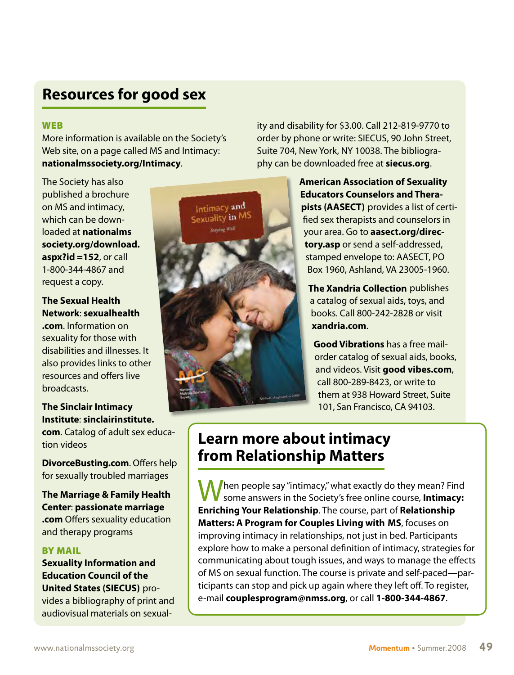## **Resources for good sex**

#### WEB

More information is available on the Society's Web site, on a page called MS and Intimacy: **[nationalmssociety.org/Intimacy](http://www.nationalmssociety.org/Intimacy)**.

The Society has also published a brochure on MS and intimacy, which can be downloaded at **nationalms [society.org/download.](http://www.nationalmssociety.org/download.aspx?id=152) aspx?id =152**, or call 1-800-344-4867 and request a copy.

**[The Sexual Health](http://www.sexualhealth.com)  Network**: **sexualhealth .com**. Information on sexuality for those with disabilities and illnesses. It also provides links to other resources and offers live broadcasts.

#### **The Sinclair Intimacy Institute**: **sinclairinstitute.**

**com**[. Catalog of adult sex ed](http://www.sinclairinstitute.com)ucation videos

**[DivorceBusting.com](http://www.DivorceBusting.com)**. Offers help for sexually troubled marriages

**[The Marriage & Family Health](http://www.passionatemarriage.com) Center**: **passionate marriage .com** Offers sexuality education and therapy programs

#### BY MAIL

**Sexuality Information and Education Council of the United States (SIECUS)** provides a bibliography of print and audiovisual materials on sexual-



ity and disability for \$3.00. Call 212-819-9770 to order by phone or write: SIECUS, 90 John Street, Suite 704, New York, NY 10038. The bibliography can be downloaded free at **[siecus.org](http://www.siecus.org)**.

> **American Association of Sexuality Educators Counselors and Therapists (AASECT)** provides a list of certified sex therapists and counselors in your area. Go to **aasect.org/directory.asp** [or send a self-addressed,](http://www.aasect.org/directory.asp)  stamped envelope to: AASECT, PO Box 1960, Ashland, VA 23005-1960.

**The Xandria Collection** publishes a catalog of sexual aids, toys, and books. Call 800-242-2828 or visit **[xandria.com](http://www.xandria.com)**.

**Good Vibrations** has a free mailorder catalog of sexual aids, books, and videos. Visit **[good vibes.com](http://www.good vibes.com)**, call 800-289-8423, or write to them at 938 Howard Street, Suite 101, San Francisco, CA 94103.

### **Learn more about intimacy from Relationship Matters**

Then people say "intimacy," what exactly do they mean? Find some answers in the Society's free online course, **Intimacy: Enriching Your Relationship**. The course, part of **Relationship Matters: A Program for Couples Living with MS**, focuses on improving intimacy in relationships, not just in bed. Participants explore how to make a personal definition of intimacy, strategies for communicating about tough issues, and ways to manage the effects of MS on sexual function. The course is private and self-paced—participants can stop and pick up again where they left off. To register, e-mail **couplesprogram@nmss.org**, or call **1-800-344-4867**.